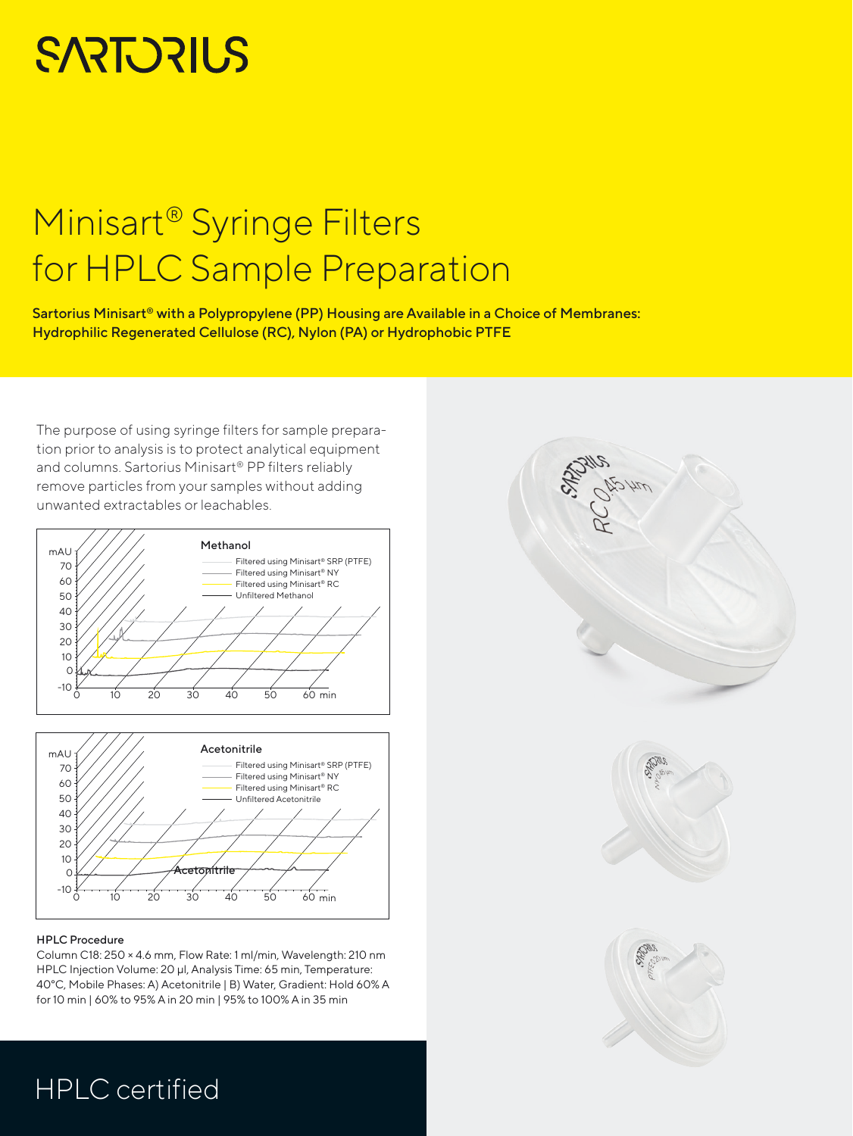# **SARTORIUS**

## Minisart® Syringe Filters for HPLC Sample Preparation

Sartorius Minisart® with a Polypropylene (PP) Housing are Available in a Choice of Membranes: Hydrophilic Regenerated Cellulose (RC), Nylon (PA) or Hydrophobic PTFE

The purpose of using syringe filters for sample preparation prior to analysis is to protect analytical equipment and columns. Sartorius Minisart® PP filters reliably remove particles from your samples without adding unwanted extractables or leachables.





#### HPLC Procedure

Column C18: 250 × 4.6 mm, Flow Rate: 1 ml/min, Wavelength: 210 nm HPLC Injection Volume: 20 μl, Analysis Time: 65 min, Temperature: 40°C, Mobile Phases: A) Acetonitrile | B) Water, Gradient: Hold 60% A for 10 min | 60% to 95% A in 20 min | 95% to 100% A in 35 min



### HPLC certified